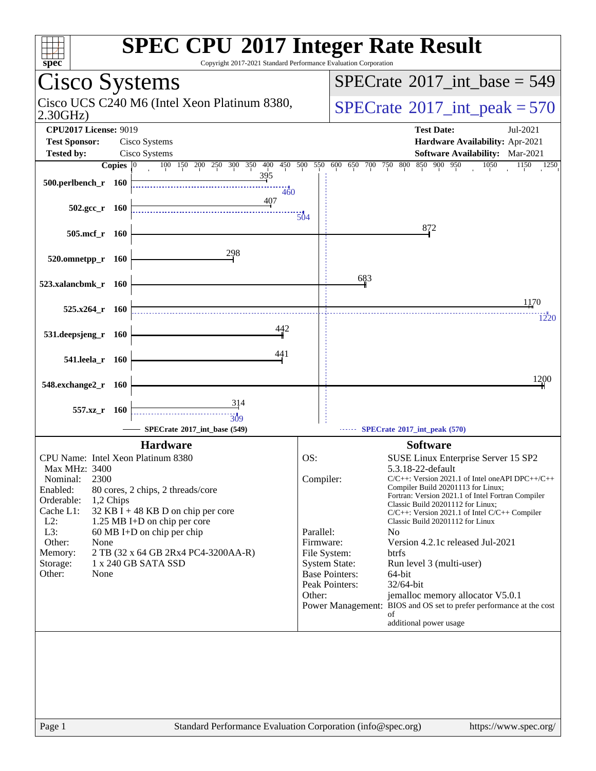| <b>SPEC CPU®2017 Integer Rate Result</b><br>Copyright 2017-2021 Standard Performance Evaluation Corporation<br>spec <sup>®</sup>                                                                                                                                                                                                                                                                                           |                                                                                                                                                                                                                                                                                                                                                                                                                                                                                                             |                                                                                                                                                                                                                                           |
|----------------------------------------------------------------------------------------------------------------------------------------------------------------------------------------------------------------------------------------------------------------------------------------------------------------------------------------------------------------------------------------------------------------------------|-------------------------------------------------------------------------------------------------------------------------------------------------------------------------------------------------------------------------------------------------------------------------------------------------------------------------------------------------------------------------------------------------------------------------------------------------------------------------------------------------------------|-------------------------------------------------------------------------------------------------------------------------------------------------------------------------------------------------------------------------------------------|
| Cisco Systems                                                                                                                                                                                                                                                                                                                                                                                                              | $SPECTate@2017\_int\_base = 549$                                                                                                                                                                                                                                                                                                                                                                                                                                                                            |                                                                                                                                                                                                                                           |
| Cisco UCS C240 M6 (Intel Xeon Platinum 8380,<br>2.30GHz                                                                                                                                                                                                                                                                                                                                                                    | $SPECTate$ <sup>®</sup> 2017_int_peak = 570                                                                                                                                                                                                                                                                                                                                                                                                                                                                 |                                                                                                                                                                                                                                           |
| <b>CPU2017 License: 9019</b><br><b>Test Sponsor:</b><br>Cisco Systems                                                                                                                                                                                                                                                                                                                                                      | <b>Test Date:</b>                                                                                                                                                                                                                                                                                                                                                                                                                                                                                           | Jul-2021<br>Hardware Availability: Apr-2021                                                                                                                                                                                               |
| <b>Tested by:</b><br>Cisco Systems                                                                                                                                                                                                                                                                                                                                                                                         |                                                                                                                                                                                                                                                                                                                                                                                                                                                                                                             | <b>Software Availability:</b> Mar-2021                                                                                                                                                                                                    |
| 100 150 200 250 300 350 400 450 500 550<br>Copies $ 0 $<br>395<br>500.perlbench_r 160<br>460<br>407                                                                                                                                                                                                                                                                                                                        | 600 650 700 750 800 850 900 950                                                                                                                                                                                                                                                                                                                                                                                                                                                                             | 1050<br>1150<br>1250                                                                                                                                                                                                                      |
| $502.\text{gcc r}$ 160<br>504                                                                                                                                                                                                                                                                                                                                                                                              |                                                                                                                                                                                                                                                                                                                                                                                                                                                                                                             |                                                                                                                                                                                                                                           |
| 505.mcf r<br>- 160                                                                                                                                                                                                                                                                                                                                                                                                         | 872                                                                                                                                                                                                                                                                                                                                                                                                                                                                                                         |                                                                                                                                                                                                                                           |
| 298<br>$520.0$ mnetpp_r $160$                                                                                                                                                                                                                                                                                                                                                                                              |                                                                                                                                                                                                                                                                                                                                                                                                                                                                                                             |                                                                                                                                                                                                                                           |
| 523.xalancbmk_r 160                                                                                                                                                                                                                                                                                                                                                                                                        | 683                                                                                                                                                                                                                                                                                                                                                                                                                                                                                                         |                                                                                                                                                                                                                                           |
| $525.x264$ r 160                                                                                                                                                                                                                                                                                                                                                                                                           |                                                                                                                                                                                                                                                                                                                                                                                                                                                                                                             | 1170<br>1220                                                                                                                                                                                                                              |
| 442<br>531.deepsjeng_r<br>- 160                                                                                                                                                                                                                                                                                                                                                                                            |                                                                                                                                                                                                                                                                                                                                                                                                                                                                                                             |                                                                                                                                                                                                                                           |
| 441<br>541.leela_r 160                                                                                                                                                                                                                                                                                                                                                                                                     |                                                                                                                                                                                                                                                                                                                                                                                                                                                                                                             |                                                                                                                                                                                                                                           |
| 548.exchange2_r<br>- 160                                                                                                                                                                                                                                                                                                                                                                                                   |                                                                                                                                                                                                                                                                                                                                                                                                                                                                                                             | 1200                                                                                                                                                                                                                                      |
| 314<br>557.xz r 160<br>309<br>SPECrate®2017_int_base (549)                                                                                                                                                                                                                                                                                                                                                                 | SPECrate®2017_int_peak (570)<br>------                                                                                                                                                                                                                                                                                                                                                                                                                                                                      |                                                                                                                                                                                                                                           |
| <b>Hardware</b>                                                                                                                                                                                                                                                                                                                                                                                                            | <b>Software</b>                                                                                                                                                                                                                                                                                                                                                                                                                                                                                             |                                                                                                                                                                                                                                           |
| CPU Name: Intel Xeon Platinum 8380<br>Max MHz: 3400<br>2300<br>Nominal:<br>Enabled:<br>80 cores, 2 chips, 2 threads/core<br>Orderable:<br>1,2 Chips<br>Cache L1:<br>$32$ KB I + 48 KB D on chip per core<br>$L2$ :<br>1.25 MB I+D on chip per core<br>L3:<br>$60 \text{ MB I+D}$ on chip per chip<br>Other:<br>None<br>2 TB (32 x 64 GB 2Rx4 PC4-3200AA-R)<br>Memory:<br>1 x 240 GB SATA SSD<br>Storage:<br>Other:<br>None | OS:<br>5.3.18-22-default<br>Compiler:<br>Compiler Build 20201113 for Linux;<br>Classic Build 20201112 for Linux;<br>Classic Build 20201112 for Linux<br>Parallel:<br>N <sub>0</sub><br>Firmware:<br>Version 4.2.1c released Jul-2021<br>File System:<br><b>btrfs</b><br><b>System State:</b><br>Run level 3 (multi-user)<br><b>Base Pointers:</b><br>64-bit<br>Peak Pointers:<br>32/64-bit<br>Other:<br>Power Management: BIOS and OS set to prefer performance at the cost<br>of<br>additional power usage | SUSE Linux Enterprise Server 15 SP2<br>$C/C++$ : Version 2021.1 of Intel one API DPC++/C++<br>Fortran: Version 2021.1 of Intel Fortran Compiler<br>$C/C++$ : Version 2021.1 of Intel $C/C++$ Compiler<br>jemalloc memory allocator V5.0.1 |
| Standard Performance Evaluation Corporation (info@spec.org)<br>Page 1                                                                                                                                                                                                                                                                                                                                                      |                                                                                                                                                                                                                                                                                                                                                                                                                                                                                                             | https://www.spec.org/                                                                                                                                                                                                                     |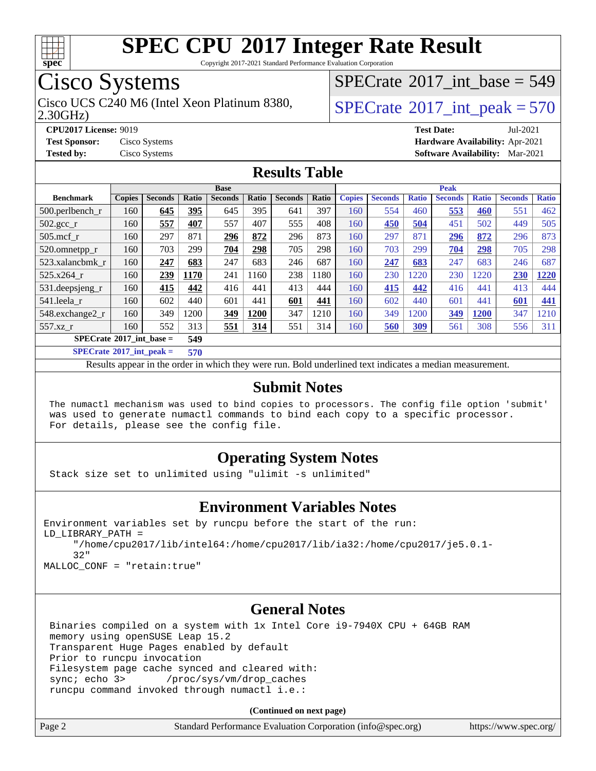

Copyright 2017-2021 Standard Performance Evaluation Corporation

## Cisco Systems

Cisco UCS C240 M6 (Intel Xeon Platinum 8380,  $\vert$ [SPECrate](http://www.spec.org/auto/cpu2017/Docs/result-fields.html#SPECrate2017intpeak)®[2017\\_int\\_peak = 5](http://www.spec.org/auto/cpu2017/Docs/result-fields.html#SPECrate2017intpeak)70

 $SPECTate@2017_int\_base = 549$ 

2.30GHz)

**[CPU2017 License:](http://www.spec.org/auto/cpu2017/Docs/result-fields.html#CPU2017License)** 9019 **[Test Date:](http://www.spec.org/auto/cpu2017/Docs/result-fields.html#TestDate)** Jul-2021 **[Test Sponsor:](http://www.spec.org/auto/cpu2017/Docs/result-fields.html#TestSponsor)** Cisco Systems **[Hardware Availability:](http://www.spec.org/auto/cpu2017/Docs/result-fields.html#HardwareAvailability)** Apr-2021 **[Tested by:](http://www.spec.org/auto/cpu2017/Docs/result-fields.html#Testedby)** Cisco Systems **[Software Availability:](http://www.spec.org/auto/cpu2017/Docs/result-fields.html#SoftwareAvailability)** Mar-2021

### **[Results Table](http://www.spec.org/auto/cpu2017/Docs/result-fields.html#ResultsTable)**

| <b>Base</b>                              |               |                |       |                | <b>Peak</b> |                |       |               |                |              |                |              |                |              |
|------------------------------------------|---------------|----------------|-------|----------------|-------------|----------------|-------|---------------|----------------|--------------|----------------|--------------|----------------|--------------|
| <b>Benchmark</b>                         | <b>Copies</b> | <b>Seconds</b> | Ratio | <b>Seconds</b> | Ratio       | <b>Seconds</b> | Ratio | <b>Copies</b> | <b>Seconds</b> | <b>Ratio</b> | <b>Seconds</b> | <b>Ratio</b> | <b>Seconds</b> | <b>Ratio</b> |
| $500.$ perlbench_r                       | 160           | 645            | 395   | 645            | 395         | 641            | 397   | 160           | 554            | 460          | 553            | 460          | 551            | 462          |
| $502.\text{gcc}$ <sub>r</sub>            | 160           | 557            | 407   | 557            | 407         | 555            | 408   | 160           | 450            | 504          | 451            | 502          | 449            | 505          |
| $505$ .mcf r                             | 160           | 297            | 871   | 296            | 872         | 296            | 873   | 160           | 297            | 871          | 296            | 872          | 296            | 873          |
| 520.omnetpp_r                            | 160           | 703            | 299   | 704            | 298         | 705            | 298   | 160           | 703            | 299          | 704            | 298          | 705            | 298          |
| 523.xalancbmk r                          | 160           | 247            | 683   | 247            | 683         | 246            | 687   | 160           | 247            | 683          | 247            | 683          | 246            | 687          |
| $525.x264$ r                             | 160           | 239            | 1170  | 241            | 160         | 238            | 1180  | 160           | 230            | 220          | 230            | 1220         | 230            | 1220         |
| 531.deepsjeng_r                          | 160           | 415            | 442   | 416            | 441         | 413            | 444   | 160           | 415            | 442          | 416            | 441          | 413            | 444          |
| 541.leela r                              | 160           | 602            | 440   | 601            | 441         | 601            | 441   | 160           | 602            | 440          | 601            | 441          | 601            | 441          |
| 548.exchange2_r                          | 160           | 349            | 1200  | 349            | 1200        | 347            | 1210  | 160           | 349            | 200          | 349            | 1200         | 347            | 1210         |
| 557.xz r                                 | 160           | 552            | 313   | 551            | <u>314</u>  | 551            | 314   | 160           | 560            | <u>309</u>   | 561            | 308          | 556            | 311          |
| $SPECrate^{\circ}2017$ int base =<br>549 |               |                |       |                |             |                |       |               |                |              |                |              |                |              |
| $CDDCL_{14} = 0.0017$ $1.4$ $1.1$        |               |                | $-10$ |                |             |                |       |               |                |              |                |              |                |              |

**[SPECrate](http://www.spec.org/auto/cpu2017/Docs/result-fields.html#SPECrate2017intpeak)[2017\\_int\\_peak =](http://www.spec.org/auto/cpu2017/Docs/result-fields.html#SPECrate2017intpeak) 570**

Results appear in the [order in which they were run](http://www.spec.org/auto/cpu2017/Docs/result-fields.html#RunOrder). Bold underlined text [indicates a median measurement](http://www.spec.org/auto/cpu2017/Docs/result-fields.html#Median).

### **[Submit Notes](http://www.spec.org/auto/cpu2017/Docs/result-fields.html#SubmitNotes)**

 The numactl mechanism was used to bind copies to processors. The config file option 'submit' was used to generate numactl commands to bind each copy to a specific processor. For details, please see the config file.

### **[Operating System Notes](http://www.spec.org/auto/cpu2017/Docs/result-fields.html#OperatingSystemNotes)**

Stack size set to unlimited using "ulimit -s unlimited"

### **[Environment Variables Notes](http://www.spec.org/auto/cpu2017/Docs/result-fields.html#EnvironmentVariablesNotes)**

```
Environment variables set by runcpu before the start of the run:
LD_LIBRARY_PATH =
      "/home/cpu2017/lib/intel64:/home/cpu2017/lib/ia32:/home/cpu2017/je5.0.1-
      32"
MALLOC_CONF = "retain:true"
```
### **[General Notes](http://www.spec.org/auto/cpu2017/Docs/result-fields.html#GeneralNotes)**

 Binaries compiled on a system with 1x Intel Core i9-7940X CPU + 64GB RAM memory using openSUSE Leap 15.2 Transparent Huge Pages enabled by default Prior to runcpu invocation Filesystem page cache synced and cleared with: sync; echo 3> /proc/sys/vm/drop\_caches runcpu command invoked through numactl i.e.:

| Page 2<br>Standard Performance Evaluation Corporation (info@spec.org)<br>https://www.spec.org/ |
|------------------------------------------------------------------------------------------------|
|------------------------------------------------------------------------------------------------|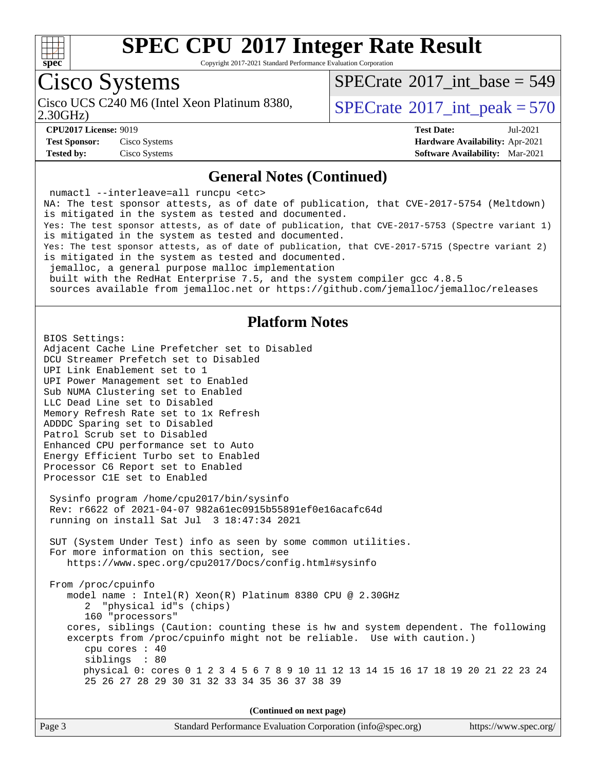

Copyright 2017-2021 Standard Performance Evaluation Corporation

## Cisco Systems

Cisco UCS C240 M6 (Intel Xeon Platinum 8380,<br>2.30GHz)

 $SPECTate@2017_int\_base = 549$ 

 $SPECTate$ <sup>®</sup>[2017\\_int\\_peak = 5](http://www.spec.org/auto/cpu2017/Docs/result-fields.html#SPECrate2017intpeak)70

**[Test Sponsor:](http://www.spec.org/auto/cpu2017/Docs/result-fields.html#TestSponsor)** Cisco Systems **[Hardware Availability:](http://www.spec.org/auto/cpu2017/Docs/result-fields.html#HardwareAvailability)** Apr-2021 **[Tested by:](http://www.spec.org/auto/cpu2017/Docs/result-fields.html#Testedby)** Cisco Systems **[Software Availability:](http://www.spec.org/auto/cpu2017/Docs/result-fields.html#SoftwareAvailability)** Mar-2021

**[CPU2017 License:](http://www.spec.org/auto/cpu2017/Docs/result-fields.html#CPU2017License)** 9019 **[Test Date:](http://www.spec.org/auto/cpu2017/Docs/result-fields.html#TestDate)** Jul-2021

### **[General Notes \(Continued\)](http://www.spec.org/auto/cpu2017/Docs/result-fields.html#GeneralNotes)**

 numactl --interleave=all runcpu <etc> NA: The test sponsor attests, as of date of publication, that CVE-2017-5754 (Meltdown) is mitigated in the system as tested and documented. Yes: The test sponsor attests, as of date of publication, that CVE-2017-5753 (Spectre variant 1) is mitigated in the system as tested and documented. Yes: The test sponsor attests, as of date of publication, that CVE-2017-5715 (Spectre variant 2) is mitigated in the system as tested and documented. jemalloc, a general purpose malloc implementation built with the RedHat Enterprise 7.5, and the system compiler gcc 4.8.5 sources available from jemalloc.net or<https://github.com/jemalloc/jemalloc/releases>

### **[Platform Notes](http://www.spec.org/auto/cpu2017/Docs/result-fields.html#PlatformNotes)**

BIOS Settings: Adjacent Cache Line Prefetcher set to Disabled DCU Streamer Prefetch set to Disabled UPI Link Enablement set to 1 UPI Power Management set to Enabled Sub NUMA Clustering set to Enabled LLC Dead Line set to Disabled Memory Refresh Rate set to 1x Refresh ADDDC Sparing set to Disabled Patrol Scrub set to Disabled Enhanced CPU performance set to Auto Energy Efficient Turbo set to Enabled Processor C6 Report set to Enabled Processor C1E set to Enabled Sysinfo program /home/cpu2017/bin/sysinfo Rev: r6622 of 2021-04-07 982a61ec0915b55891ef0e16acafc64d running on install Sat Jul 3 18:47:34 2021 SUT (System Under Test) info as seen by some common utilities. For more information on this section, see <https://www.spec.org/cpu2017/Docs/config.html#sysinfo> From /proc/cpuinfo model name : Intel(R) Xeon(R) Platinum 8380 CPU @ 2.30GHz 2 "physical id"s (chips) 160 "processors" cores, siblings (Caution: counting these is hw and system dependent. The following excerpts from /proc/cpuinfo might not be reliable. Use with caution.) cpu cores : 40 siblings : 80 physical 0: cores 0 1 2 3 4 5 6 7 8 9 10 11 12 13 14 15 16 17 18 19 20 21 22 23 24 25 26 27 28 29 30 31 32 33 34 35 36 37 38 39

| Page 3 | Standard Performance Evaluation Corporation (info@spec.org) | https://www.spec.org/ |
|--------|-------------------------------------------------------------|-----------------------|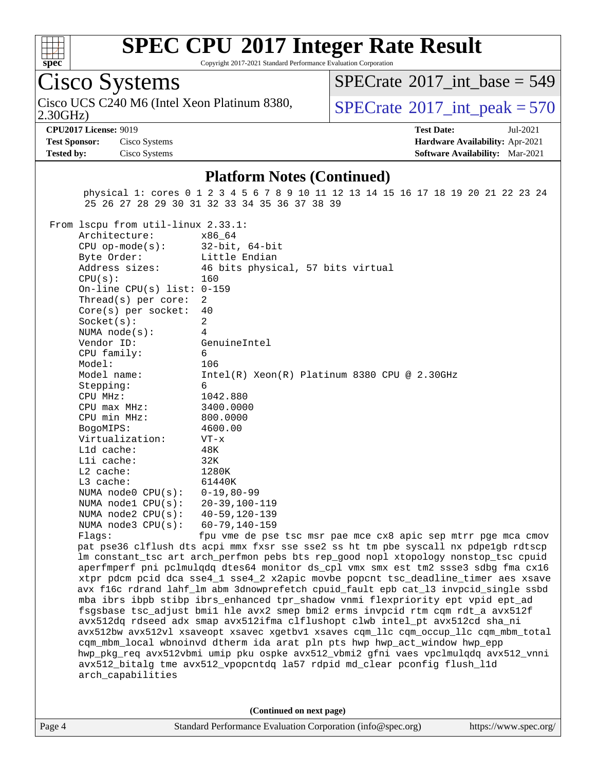

Copyright 2017-2021 Standard Performance Evaluation Corporation

## Cisco Systems

2.30GHz) Cisco UCS C240 M6 (Intel Xeon Platinum 8380,  $\vert$ [SPECrate](http://www.spec.org/auto/cpu2017/Docs/result-fields.html#SPECrate2017intpeak)®[2017\\_int\\_peak = 5](http://www.spec.org/auto/cpu2017/Docs/result-fields.html#SPECrate2017intpeak)70

 $SPECTate$ <sup>®</sup>[2017\\_int\\_base =](http://www.spec.org/auto/cpu2017/Docs/result-fields.html#SPECrate2017intbase) 549

**[Test Sponsor:](http://www.spec.org/auto/cpu2017/Docs/result-fields.html#TestSponsor)** Cisco Systems **[Hardware Availability:](http://www.spec.org/auto/cpu2017/Docs/result-fields.html#HardwareAvailability)** Apr-2021 **[Tested by:](http://www.spec.org/auto/cpu2017/Docs/result-fields.html#Testedby)** Cisco Systems **[Software Availability:](http://www.spec.org/auto/cpu2017/Docs/result-fields.html#SoftwareAvailability)** Mar-2021

**[CPU2017 License:](http://www.spec.org/auto/cpu2017/Docs/result-fields.html#CPU2017License)** 9019 **[Test Date:](http://www.spec.org/auto/cpu2017/Docs/result-fields.html#TestDate)** Jul-2021

### **[Platform Notes \(Continued\)](http://www.spec.org/auto/cpu2017/Docs/result-fields.html#PlatformNotes)**

 physical 1: cores 0 1 2 3 4 5 6 7 8 9 10 11 12 13 14 15 16 17 18 19 20 21 22 23 24 25 26 27 28 29 30 31 32 33 34 35 36 37 38 39

From lscpu from util-linux 2.33.1:

| Architecture:                    | x86_64                                           |
|----------------------------------|--------------------------------------------------|
| $CPU op-mode(s):$ 32-bit, 64-bit |                                                  |
| Byte Order: Little Endian        |                                                  |
| Address sizes:                   | 46 bits physical, 57 bits virtual                |
| CPU(s):                          | 160                                              |
| On-line CPU(s) list: $0-159$     |                                                  |
| Thread(s) per core:              | 2                                                |
| $Core(s)$ per socket: 40         |                                                  |
| Socket(s):                       | 2                                                |
| NUMA node(s):                    | 4                                                |
| Vendor ID:                       | GenuineIntel                                     |
| CPU family:                      | 6                                                |
| Model:                           | 106                                              |
| Model name:                      | Intel(R) Xeon(R) Platinum 8380 CPU @ 2.30GHz     |
| Stepping:                        | 6                                                |
| CPU MHz:                         | 1042.880                                         |
| $CPU$ $max$ $MHz$ :              | 3400.0000                                        |
| CPU min MHz: 800.0000            |                                                  |
| BogoMIPS:                        | 4600.00                                          |
| Virtualization:<br>$VT - x$      |                                                  |
| Lld cache:                       | 48K                                              |
| Lli cache:                       | 32K                                              |
| L2 cache:                        | 1280K                                            |
| $L3$ cache:                      | 61440K                                           |
| NUMA node0 $CPU(s): 0-19, 80-99$ |                                                  |
| NUMA node1 CPU(s): 20-39,100-119 |                                                  |
| NUMA node2 CPU(s): 40-59,120-139 |                                                  |
| NUMA $node3$ $CPU(s):$           | 60-79,140-159                                    |
| Flaqs:                           | fpu vme de pse tsc msr pae mce cx8 apic sep mtrr |

pge mca cmov pat pse36 clflush dts acpi mmx fxsr sse sse2 ss ht tm pbe syscall nx pdpe1gb rdtscp lm constant\_tsc art arch\_perfmon pebs bts rep\_good nopl xtopology nonstop\_tsc cpuid aperfmperf pni pclmulqdq dtes64 monitor ds\_cpl vmx smx est tm2 ssse3 sdbg fma cx16 xtpr pdcm pcid dca sse4\_1 sse4\_2 x2apic movbe popcnt tsc\_deadline\_timer aes xsave avx f16c rdrand lahf\_lm abm 3dnowprefetch cpuid\_fault epb cat\_l3 invpcid\_single ssbd mba ibrs ibpb stibp ibrs\_enhanced tpr\_shadow vnmi flexpriority ept vpid ept\_ad fsgsbase tsc\_adjust bmi1 hle avx2 smep bmi2 erms invpcid rtm cqm rdt\_a avx512f avx512dq rdseed adx smap avx512ifma clflushopt clwb intel\_pt avx512cd sha\_ni avx512bw avx512vl xsaveopt xsavec xgetbv1 xsaves cqm\_llc cqm\_occup\_llc cqm\_mbm\_total cqm\_mbm\_local wbnoinvd dtherm ida arat pln pts hwp hwp\_act\_window hwp\_epp hwp\_pkg\_req avx512vbmi umip pku ospke avx512\_vbmi2 gfni vaes vpclmulqdq avx512\_vnni avx512\_bitalg tme avx512\_vpopcntdq la57 rdpid md\_clear pconfig flush\_l1d arch\_capabilities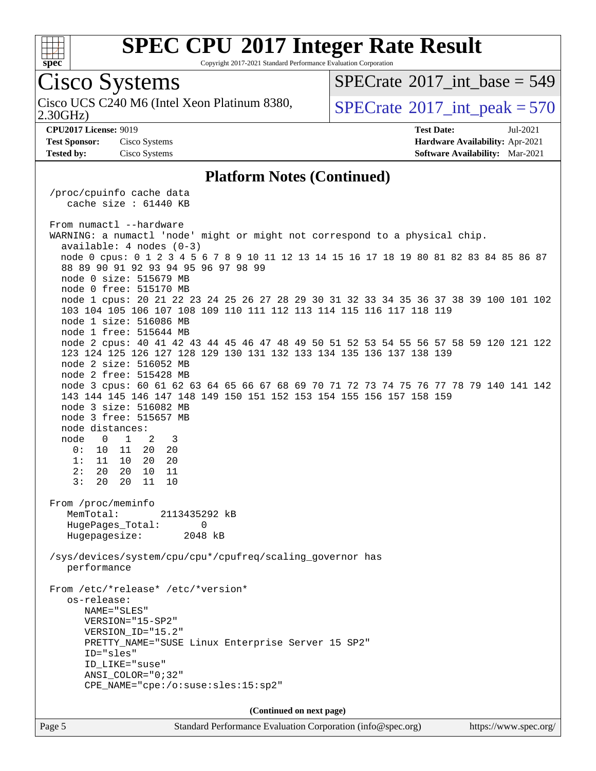

Copyright 2017-2021 Standard Performance Evaluation Corporation

**(Continued on next page)**

Page 5 Standard Performance Evaluation Corporation [\(info@spec.org\)](mailto:info@spec.org) <https://www.spec.org/>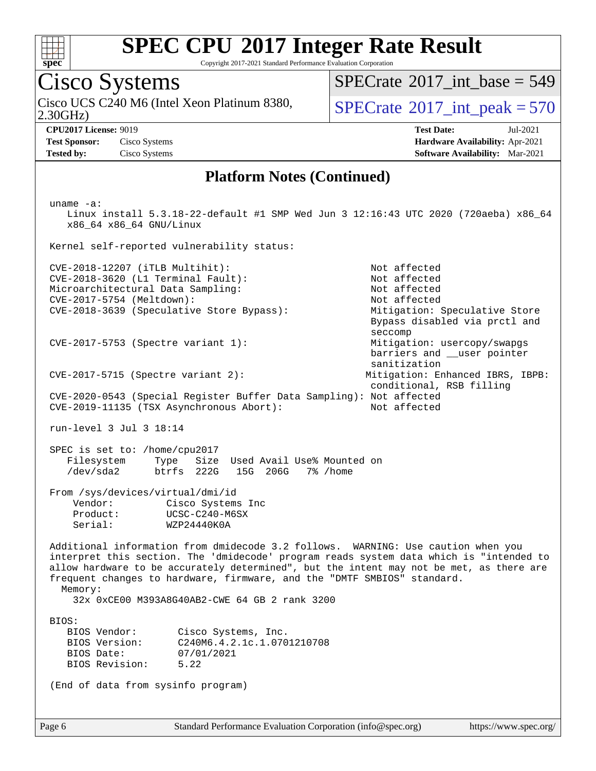

Copyright 2017-2021 Standard Performance Evaluation Corporation

## Cisco Systems

2.30GHz) Cisco UCS C240 M6 (Intel Xeon Platinum 8380,  $\vert$  [SPECrate](http://www.spec.org/auto/cpu2017/Docs/result-fields.html#SPECrate2017intpeak)<sup>®</sup>[2017\\_int\\_peak = 5](http://www.spec.org/auto/cpu2017/Docs/result-fields.html#SPECrate2017intpeak)70

 $SPECrate$ <sup>®</sup>[2017\\_int\\_base =](http://www.spec.org/auto/cpu2017/Docs/result-fields.html#SPECrate2017intbase) 549

**[Test Sponsor:](http://www.spec.org/auto/cpu2017/Docs/result-fields.html#TestSponsor)** Cisco Systems **[Hardware Availability:](http://www.spec.org/auto/cpu2017/Docs/result-fields.html#HardwareAvailability)** Apr-2021 **[Tested by:](http://www.spec.org/auto/cpu2017/Docs/result-fields.html#Testedby)** Cisco Systems **[Software Availability:](http://www.spec.org/auto/cpu2017/Docs/result-fields.html#SoftwareAvailability)** Mar-2021

**[CPU2017 License:](http://www.spec.org/auto/cpu2017/Docs/result-fields.html#CPU2017License)** 9019 **[Test Date:](http://www.spec.org/auto/cpu2017/Docs/result-fields.html#TestDate)** Jul-2021

### **[Platform Notes \(Continued\)](http://www.spec.org/auto/cpu2017/Docs/result-fields.html#PlatformNotes)**

 uname -a: Linux install 5.3.18-22-default #1 SMP Wed Jun 3 12:16:43 UTC 2020 (720aeba) x86\_64 x86\_64 x86\_64 GNU/Linux Kernel self-reported vulnerability status: CVE-2018-12207 (iTLB Multihit): Not affected CVE-2018-3620 (L1 Terminal Fault): Not affected Microarchitectural Data Sampling: Not affected CVE-2017-5754 (Meltdown): Not affected CVE-2018-3639 (Speculative Store Bypass): Mitigation: Speculative Store Bypass disabled via prctl and seccomp CVE-2017-5753 (Spectre variant 1): Mitigation: usercopy/swapgs barriers and \_\_user pointer sanitization CVE-2017-5715 (Spectre variant 2): Mitigation: Enhanced IBRS, IBPB: conditional, RSB filling CVE-2020-0543 (Special Register Buffer Data Sampling): Not affected CVE-2019-11135 (TSX Asynchronous Abort): Not affected run-level 3 Jul 3 18:14 SPEC is set to: /home/cpu2017 Filesystem Type Size Used Avail Use% Mounted on<br>
/dev/sda2 btrfs 222G 15G 206G 7% /home /dev/sda2 btrfs 222G 15G 206G 7% /home From /sys/devices/virtual/dmi/id Vendor: Cisco Systems Inc Product: UCSC-C240-M6SX Serial: WZP24440K0A Additional information from dmidecode 3.2 follows. WARNING: Use caution when you interpret this section. The 'dmidecode' program reads system data which is "intended to allow hardware to be accurately determined", but the intent may not be met, as there are frequent changes to hardware, firmware, and the "DMTF SMBIOS" standard. Memory: 32x 0xCE00 M393A8G40AB2-CWE 64 GB 2 rank 3200 BIOS: BIOS Vendor: Cisco Systems, Inc. BIOS Version: C240M6.4.2.1c.1.0701210708 BIOS Date: 07/01/2021 BIOS Revision: 5.22 (End of data from sysinfo program)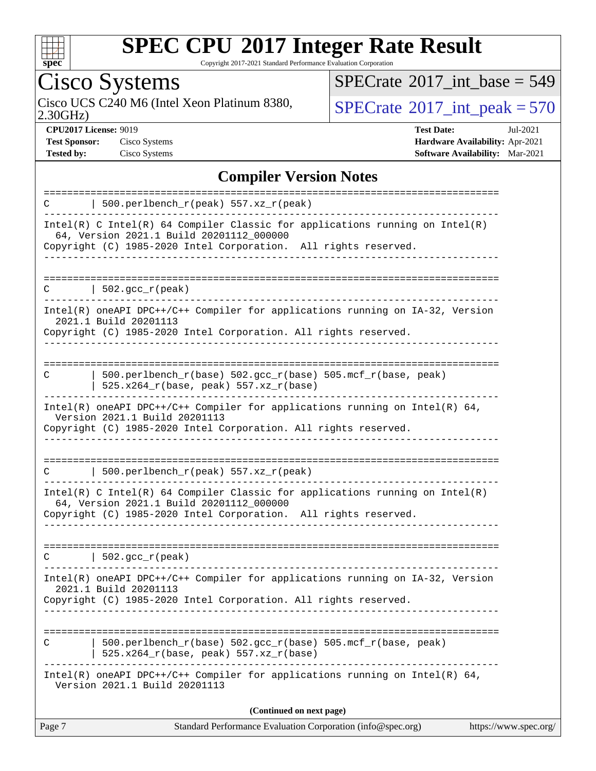

Copyright 2017-2021 Standard Performance Evaluation Corporation

Cisco Systems<br>Cisco UCS C240 M6 (Intel Xeon Platinum 8380, 2.30GHz)

 $SPECrate$ <sup>®</sup>[2017\\_int\\_base =](http://www.spec.org/auto/cpu2017/Docs/result-fields.html#SPECrate2017intbase) 549

 $SPECTate$ <sup>®</sup>[2017\\_int\\_peak = 5](http://www.spec.org/auto/cpu2017/Docs/result-fields.html#SPECrate2017intpeak)70

**[CPU2017 License:](http://www.spec.org/auto/cpu2017/Docs/result-fields.html#CPU2017License)** 9019 **[Test Date:](http://www.spec.org/auto/cpu2017/Docs/result-fields.html#TestDate)** Jul-2021 **[Test Sponsor:](http://www.spec.org/auto/cpu2017/Docs/result-fields.html#TestSponsor)** Cisco Systems **[Hardware Availability:](http://www.spec.org/auto/cpu2017/Docs/result-fields.html#HardwareAvailability)** Apr-2021 **[Tested by:](http://www.spec.org/auto/cpu2017/Docs/result-fields.html#Testedby)** Cisco Systems **[Software Availability:](http://www.spec.org/auto/cpu2017/Docs/result-fields.html#SoftwareAvailability)** Mar-2021

### **[Compiler Version Notes](http://www.spec.org/auto/cpu2017/Docs/result-fields.html#CompilerVersionNotes)**

|   | (Continued on next page)                                                                                                                                                                      |  |
|---|-----------------------------------------------------------------------------------------------------------------------------------------------------------------------------------------------|--|
|   | $Intel(R)$ oneAPI DPC++/C++ Compiler for applications running on Intel(R) 64,<br>Version 2021.1 Build 20201113                                                                                |  |
|   | 500.perlbench_r(base) 502.gcc_r(base) 505.mcf_r(base, peak)<br>525.x264_r(base, peak) 557.xz_r(base)                                                                                          |  |
|   | 2021.1 Build 20201113<br>Copyright (C) 1985-2020 Intel Corporation. All rights reserved.                                                                                                      |  |
|   | Intel(R) oneAPI DPC++/C++ Compiler for applications running on IA-32, Version                                                                                                                 |  |
| C | 502.gcc_r(peak)                                                                                                                                                                               |  |
|   | Intel(R) C Intel(R) 64 Compiler Classic for applications running on $Intel(R)$<br>64, Version 2021.1 Build 20201112_000000<br>Copyright (C) 1985-2020 Intel Corporation. All rights reserved. |  |
| C | 500.perlbench_r(peak) 557.xz_r(peak)                                                                                                                                                          |  |
|   | Copyright (C) 1985-2020 Intel Corporation. All rights reserved.                                                                                                                               |  |
|   | $Intel(R)$ oneAPI DPC++/C++ Compiler for applications running on Intel(R) 64,<br>Version 2021.1 Build 20201113                                                                                |  |
| C | $500. perlbench_r(base) 502. gcc_r(base) 505.mcf_r(base, peak)$<br>525.x264_r(base, peak) 557.xz_r(base)                                                                                      |  |
|   | 2021.1 Build 20201113<br>Copyright (C) 1985-2020 Intel Corporation. All rights reserved.                                                                                                      |  |
|   | Intel(R) oneAPI DPC++/C++ Compiler for applications running on IA-32, Version                                                                                                                 |  |
| C | $502.\text{gcc_r(peak)}$                                                                                                                                                                      |  |
|   | 64, Version 2021.1 Build 20201112_000000<br>Copyright (C) 1985-2020 Intel Corporation. All rights reserved.                                                                                   |  |
|   | Intel(R) C Intel(R) 64 Compiler Classic for applications running on $Intel(R)$                                                                                                                |  |
| C | 500.perlbench_r(peak) 557.xz_r(peak)                                                                                                                                                          |  |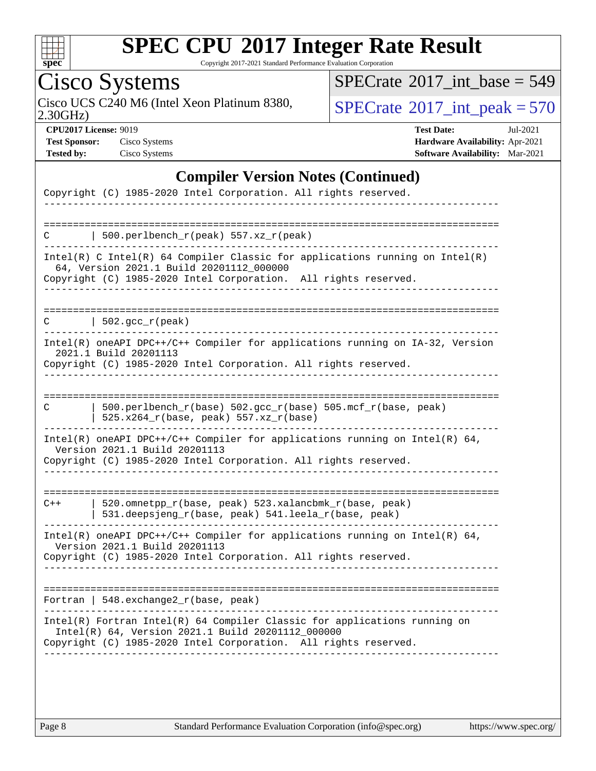

Copyright 2017-2021 Standard Performance Evaluation Corporation

# Cisco Systems

2.30GHz) Cisco UCS C240 M6 (Intel Xeon Platinum 8380,  $\boxed{\text{SPECrate}^{\circ}2017\_int\_peak = 570}$  $\boxed{\text{SPECrate}^{\circ}2017\_int\_peak = 570}$  $\boxed{\text{SPECrate}^{\circ}2017\_int\_peak = 570}$ 

 $SPECrate$ <sup>®</sup>[2017\\_int\\_base =](http://www.spec.org/auto/cpu2017/Docs/result-fields.html#SPECrate2017intbase) 549

**[CPU2017 License:](http://www.spec.org/auto/cpu2017/Docs/result-fields.html#CPU2017License)** 9019 **[Test Date:](http://www.spec.org/auto/cpu2017/Docs/result-fields.html#TestDate)** Jul-2021 **[Test Sponsor:](http://www.spec.org/auto/cpu2017/Docs/result-fields.html#TestSponsor)** Cisco Systems **[Hardware Availability:](http://www.spec.org/auto/cpu2017/Docs/result-fields.html#HardwareAvailability)** Apr-2021 **[Tested by:](http://www.spec.org/auto/cpu2017/Docs/result-fields.html#Testedby)** Cisco Systems **[Software Availability:](http://www.spec.org/auto/cpu2017/Docs/result-fields.html#SoftwareAvailability)** Mar-2021

### **[Compiler Version Notes \(Continued\)](http://www.spec.org/auto/cpu2017/Docs/result-fields.html#CompilerVersionNotes)**

| Copyright (C) 1985-2020 Intel Corporation. All rights reserved.                                                                                                                                   |
|---------------------------------------------------------------------------------------------------------------------------------------------------------------------------------------------------|
|                                                                                                                                                                                                   |
| ===============================<br>500.perlbench_r(peak) 557.xz_r(peak)<br>C                                                                                                                      |
| $Intel(R)$ C Intel(R) 64 Compiler Classic for applications running on Intel(R)<br>64, Version 2021.1 Build 20201112_000000<br>Copyright (C) 1985-2020 Intel Corporation. All rights reserved.     |
|                                                                                                                                                                                                   |
| $  502.\text{gcc\_r}(\text{peak})$<br>C                                                                                                                                                           |
| Intel(R) oneAPI DPC++/C++ Compiler for applications running on IA-32, Version<br>2021.1 Build 20201113<br>Copyright (C) 1985-2020 Intel Corporation. All rights reserved.                         |
|                                                                                                                                                                                                   |
| 500.perlbench_r(base) 502.gcc_r(base) 505.mcf_r(base, peak)<br>C<br>$525.x264_r(base, peak) 557.xz_r(base)$                                                                                       |
| Intel(R) oneAPI DPC++/C++ Compiler for applications running on Intel(R) 64,<br>Version 2021.1 Build 20201113<br>Copyright (C) 1985-2020 Intel Corporation. All rights reserved.                   |
|                                                                                                                                                                                                   |
| 520.omnetpp_r(base, peak) 523.xalancbmk_r(base, peak)<br>$C++$<br>531.deepsjeng_r(base, peak) 541.leela_r(base, peak)                                                                             |
| Intel(R) oneAPI DPC++/C++ Compiler for applications running on Intel(R) 64,<br>Version 2021.1 Build 20201113<br>Copyright (C) 1985-2020 Intel Corporation. All rights reserved.                   |
|                                                                                                                                                                                                   |
| Fortran   548. exchange2 $r(base, peak)$                                                                                                                                                          |
| Intel(R) Fortran Intel(R) 64 Compiler Classic for applications running on<br>Intel(R) 64, Version 2021.1 Build 20201112_000000<br>Copyright (C) 1985-2020 Intel Corporation. All rights reserved. |
|                                                                                                                                                                                                   |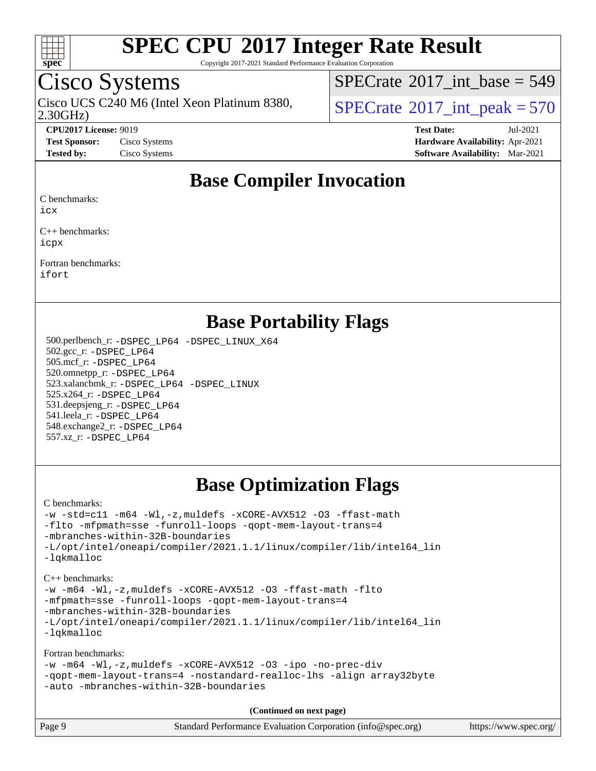

Copyright 2017-2021 Standard Performance Evaluation Corporation

## Cisco Systems

2.30GHz) Cisco UCS C240 M6 (Intel Xeon Platinum 8380,  $\vert$  [SPECrate](http://www.spec.org/auto/cpu2017/Docs/result-fields.html#SPECrate2017intpeak)<sup>®</sup>[2017\\_int\\_peak = 5](http://www.spec.org/auto/cpu2017/Docs/result-fields.html#SPECrate2017intpeak)70

 $SPECTate@2017_int\_base = 549$ 

**[CPU2017 License:](http://www.spec.org/auto/cpu2017/Docs/result-fields.html#CPU2017License)** 9019 **[Test Date:](http://www.spec.org/auto/cpu2017/Docs/result-fields.html#TestDate)** Jul-2021 **[Test Sponsor:](http://www.spec.org/auto/cpu2017/Docs/result-fields.html#TestSponsor)** Cisco Systems **[Hardware Availability:](http://www.spec.org/auto/cpu2017/Docs/result-fields.html#HardwareAvailability)** Apr-2021 **[Tested by:](http://www.spec.org/auto/cpu2017/Docs/result-fields.html#Testedby)** Cisco Systems **[Software Availability:](http://www.spec.org/auto/cpu2017/Docs/result-fields.html#SoftwareAvailability)** Mar-2021

### **[Base Compiler Invocation](http://www.spec.org/auto/cpu2017/Docs/result-fields.html#BaseCompilerInvocation)**

[C benchmarks](http://www.spec.org/auto/cpu2017/Docs/result-fields.html#Cbenchmarks):

[icx](http://www.spec.org/cpu2017/results/res2021q3/cpu2017-20210720-28374.flags.html#user_CCbase_intel_icx_fe2d28d19ae2a5db7c42fe0f2a2aed77cb715edd4aeb23434404a8be6683fe239869bb6ca8154ca98265c2e3b9226a719a0efe2953a4a7018c379b7010ccf087)

[C++ benchmarks:](http://www.spec.org/auto/cpu2017/Docs/result-fields.html#CXXbenchmarks) [icpx](http://www.spec.org/cpu2017/results/res2021q3/cpu2017-20210720-28374.flags.html#user_CXXbase_intel_icpx_1e918ed14c436bf4b9b7c8bcdd51d4539fc71b3df010bd1e9f8732d9c34c2b2914e48204a846820f3c0ebb4095dea797a5c30b458ac0b6dffac65d78f781f5ca)

[Fortran benchmarks](http://www.spec.org/auto/cpu2017/Docs/result-fields.html#Fortranbenchmarks): [ifort](http://www.spec.org/cpu2017/results/res2021q3/cpu2017-20210720-28374.flags.html#user_FCbase_intel_ifort_8111460550e3ca792625aed983ce982f94888b8b503583aa7ba2b8303487b4d8a21a13e7191a45c5fd58ff318f48f9492884d4413fa793fd88dd292cad7027ca)

### **[Base Portability Flags](http://www.spec.org/auto/cpu2017/Docs/result-fields.html#BasePortabilityFlags)**

 500.perlbench\_r: [-DSPEC\\_LP64](http://www.spec.org/cpu2017/results/res2021q3/cpu2017-20210720-28374.flags.html#b500.perlbench_r_basePORTABILITY_DSPEC_LP64) [-DSPEC\\_LINUX\\_X64](http://www.spec.org/cpu2017/results/res2021q3/cpu2017-20210720-28374.flags.html#b500.perlbench_r_baseCPORTABILITY_DSPEC_LINUX_X64) 502.gcc\_r: [-DSPEC\\_LP64](http://www.spec.org/cpu2017/results/res2021q3/cpu2017-20210720-28374.flags.html#suite_basePORTABILITY502_gcc_r_DSPEC_LP64) 505.mcf\_r: [-DSPEC\\_LP64](http://www.spec.org/cpu2017/results/res2021q3/cpu2017-20210720-28374.flags.html#suite_basePORTABILITY505_mcf_r_DSPEC_LP64) 520.omnetpp\_r: [-DSPEC\\_LP64](http://www.spec.org/cpu2017/results/res2021q3/cpu2017-20210720-28374.flags.html#suite_basePORTABILITY520_omnetpp_r_DSPEC_LP64) 523.xalancbmk\_r: [-DSPEC\\_LP64](http://www.spec.org/cpu2017/results/res2021q3/cpu2017-20210720-28374.flags.html#suite_basePORTABILITY523_xalancbmk_r_DSPEC_LP64) [-DSPEC\\_LINUX](http://www.spec.org/cpu2017/results/res2021q3/cpu2017-20210720-28374.flags.html#b523.xalancbmk_r_baseCXXPORTABILITY_DSPEC_LINUX) 525.x264\_r: [-DSPEC\\_LP64](http://www.spec.org/cpu2017/results/res2021q3/cpu2017-20210720-28374.flags.html#suite_basePORTABILITY525_x264_r_DSPEC_LP64) 531.deepsjeng\_r: [-DSPEC\\_LP64](http://www.spec.org/cpu2017/results/res2021q3/cpu2017-20210720-28374.flags.html#suite_basePORTABILITY531_deepsjeng_r_DSPEC_LP64) 541.leela\_r: [-DSPEC\\_LP64](http://www.spec.org/cpu2017/results/res2021q3/cpu2017-20210720-28374.flags.html#suite_basePORTABILITY541_leela_r_DSPEC_LP64) 548.exchange2\_r: [-DSPEC\\_LP64](http://www.spec.org/cpu2017/results/res2021q3/cpu2017-20210720-28374.flags.html#suite_basePORTABILITY548_exchange2_r_DSPEC_LP64) 557.xz\_r: [-DSPEC\\_LP64](http://www.spec.org/cpu2017/results/res2021q3/cpu2017-20210720-28374.flags.html#suite_basePORTABILITY557_xz_r_DSPEC_LP64)

## **[Base Optimization Flags](http://www.spec.org/auto/cpu2017/Docs/result-fields.html#BaseOptimizationFlags)**

[C benchmarks](http://www.spec.org/auto/cpu2017/Docs/result-fields.html#Cbenchmarks):

```
-w -std=c11 -m64 -Wl,-z,muldefs -xCORE-AVX512 -O3 -ffast-math
-flto -mfpmath=sse -funroll-loops -qopt-mem-layout-trans=4
-mbranches-within-32B-boundaries
-L/opt/intel/oneapi/compiler/2021.1.1/linux/compiler/lib/intel64_lin
-lqkmalloc
```
[C++ benchmarks:](http://www.spec.org/auto/cpu2017/Docs/result-fields.html#CXXbenchmarks) [-w](http://www.spec.org/cpu2017/results/res2021q3/cpu2017-20210720-28374.flags.html#user_CXXbase_supress_warning_66fb2c4e5c1dd10f38bdd29623979399e5ae75ae6e5453792d82ef66afed381df4a8602f92cac8d2ea0fffa7b93b4b1ccb9ecad4af01c9b2fe338b2082ae3859) [-m64](http://www.spec.org/cpu2017/results/res2021q3/cpu2017-20210720-28374.flags.html#user_CXXbase_m64-icc) [-Wl,-z,muldefs](http://www.spec.org/cpu2017/results/res2021q3/cpu2017-20210720-28374.flags.html#user_CXXbase_link_force_multiple1_b4cbdb97b34bdee9ceefcfe54f4c8ea74255f0b02a4b23e853cdb0e18eb4525ac79b5a88067c842dd0ee6996c24547a27a4b99331201badda8798ef8a743f577) [-xCORE-AVX512](http://www.spec.org/cpu2017/results/res2021q3/cpu2017-20210720-28374.flags.html#user_CXXbase_f-xCORE-AVX512) [-O3](http://www.spec.org/cpu2017/results/res2021q3/cpu2017-20210720-28374.flags.html#user_CXXbase_f-O3) [-ffast-math](http://www.spec.org/cpu2017/results/res2021q3/cpu2017-20210720-28374.flags.html#user_CXXbase_f-ffast-math) [-flto](http://www.spec.org/cpu2017/results/res2021q3/cpu2017-20210720-28374.flags.html#user_CXXbase_f-flto) [-mfpmath=sse](http://www.spec.org/cpu2017/results/res2021q3/cpu2017-20210720-28374.flags.html#user_CXXbase_f-mfpmath_70eb8fac26bde974f8ab713bc9086c5621c0b8d2f6c86f38af0bd7062540daf19db5f3a066d8c6684be05d84c9b6322eb3b5be6619d967835195b93d6c02afa1) [-funroll-loops](http://www.spec.org/cpu2017/results/res2021q3/cpu2017-20210720-28374.flags.html#user_CXXbase_f-funroll-loops) [-qopt-mem-layout-trans=4](http://www.spec.org/cpu2017/results/res2021q3/cpu2017-20210720-28374.flags.html#user_CXXbase_f-qopt-mem-layout-trans_fa39e755916c150a61361b7846f310bcdf6f04e385ef281cadf3647acec3f0ae266d1a1d22d972a7087a248fd4e6ca390a3634700869573d231a252c784941a8) [-mbranches-within-32B-boundaries](http://www.spec.org/cpu2017/results/res2021q3/cpu2017-20210720-28374.flags.html#user_CXXbase_f-mbranches-within-32B-boundaries) [-L/opt/intel/oneapi/compiler/2021.1.1/linux/compiler/lib/intel64\\_lin](http://www.spec.org/cpu2017/results/res2021q3/cpu2017-20210720-28374.flags.html#user_CXXbase_linkpath_f3ac96bc44eb3356c66274e76f12ce7989555e6431aa425d8bf37251b5a0a8e4f20d385a762420f3e0cdf627bb737484454017ddfa67f55a42ce17058c8be12d) [-lqkmalloc](http://www.spec.org/cpu2017/results/res2021q3/cpu2017-20210720-28374.flags.html#user_CXXbase_qkmalloc_link_lib_79a818439969f771c6bc311cfd333c00fc099dad35c030f5aab9dda831713d2015205805422f83de8875488a2991c0a156aaa600e1f9138f8fc37004abc96dc5)

[Fortran benchmarks](http://www.spec.org/auto/cpu2017/Docs/result-fields.html#Fortranbenchmarks):

```
-w -m64 -Wl,-z,muldefs -xCORE-AVX512 -O3 -ipo -no-prec-div
-qopt-mem-layout-trans=4 -nostandard-realloc-lhs -align array32byte
-auto -mbranches-within-32B-boundaries
```

| Page 9<br>Standard Performance Evaluation Corporation (info@spec.org) | https://www.spec.org/ |
|-----------------------------------------------------------------------|-----------------------|
|-----------------------------------------------------------------------|-----------------------|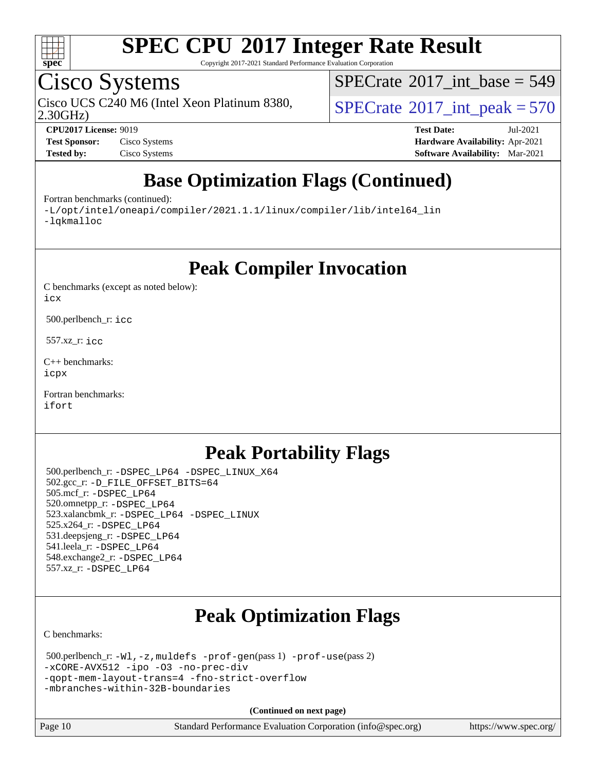

Copyright 2017-2021 Standard Performance Evaluation Corporation

## Cisco Systems

2.30GHz) Cisco UCS C240 M6 (Intel Xeon Platinum 8380,  $\vert$  [SPECrate](http://www.spec.org/auto/cpu2017/Docs/result-fields.html#SPECrate2017intpeak)<sup>®</sup>[2017\\_int\\_peak = 5](http://www.spec.org/auto/cpu2017/Docs/result-fields.html#SPECrate2017intpeak)70

 $SPECTate@2017_int\_base = 549$ 

**[Test Sponsor:](http://www.spec.org/auto/cpu2017/Docs/result-fields.html#TestSponsor)** Cisco Systems **[Hardware Availability:](http://www.spec.org/auto/cpu2017/Docs/result-fields.html#HardwareAvailability)** Apr-2021 **[Tested by:](http://www.spec.org/auto/cpu2017/Docs/result-fields.html#Testedby)** Cisco Systems **[Software Availability:](http://www.spec.org/auto/cpu2017/Docs/result-fields.html#SoftwareAvailability)** Mar-2021

**[CPU2017 License:](http://www.spec.org/auto/cpu2017/Docs/result-fields.html#CPU2017License)** 9019 **[Test Date:](http://www.spec.org/auto/cpu2017/Docs/result-fields.html#TestDate)** Jul-2021

## **[Base Optimization Flags \(Continued\)](http://www.spec.org/auto/cpu2017/Docs/result-fields.html#BaseOptimizationFlags)**

[Fortran benchmarks](http://www.spec.org/auto/cpu2017/Docs/result-fields.html#Fortranbenchmarks) (continued):

[-L/opt/intel/oneapi/compiler/2021.1.1/linux/compiler/lib/intel64\\_lin](http://www.spec.org/cpu2017/results/res2021q3/cpu2017-20210720-28374.flags.html#user_FCbase_linkpath_f3ac96bc44eb3356c66274e76f12ce7989555e6431aa425d8bf37251b5a0a8e4f20d385a762420f3e0cdf627bb737484454017ddfa67f55a42ce17058c8be12d) [-lqkmalloc](http://www.spec.org/cpu2017/results/res2021q3/cpu2017-20210720-28374.flags.html#user_FCbase_qkmalloc_link_lib_79a818439969f771c6bc311cfd333c00fc099dad35c030f5aab9dda831713d2015205805422f83de8875488a2991c0a156aaa600e1f9138f8fc37004abc96dc5)

**[Peak Compiler Invocation](http://www.spec.org/auto/cpu2017/Docs/result-fields.html#PeakCompilerInvocation)**

[C benchmarks \(except as noted below\)](http://www.spec.org/auto/cpu2017/Docs/result-fields.html#Cbenchmarksexceptasnotedbelow): [icx](http://www.spec.org/cpu2017/results/res2021q3/cpu2017-20210720-28374.flags.html#user_CCpeak_intel_icx_fe2d28d19ae2a5db7c42fe0f2a2aed77cb715edd4aeb23434404a8be6683fe239869bb6ca8154ca98265c2e3b9226a719a0efe2953a4a7018c379b7010ccf087)

500.perlbench\_r: [icc](http://www.spec.org/cpu2017/results/res2021q3/cpu2017-20210720-28374.flags.html#user_peakCCLD500_perlbench_r_intel_icc_66fc1ee009f7361af1fbd72ca7dcefbb700085f36577c54f309893dd4ec40d12360134090235512931783d35fd58c0460139e722d5067c5574d8eaf2b3e37e92)

557.xz\_r: [icc](http://www.spec.org/cpu2017/results/res2021q3/cpu2017-20210720-28374.flags.html#user_peakCCLD557_xz_r_intel_icc_66fc1ee009f7361af1fbd72ca7dcefbb700085f36577c54f309893dd4ec40d12360134090235512931783d35fd58c0460139e722d5067c5574d8eaf2b3e37e92)

[C++ benchmarks:](http://www.spec.org/auto/cpu2017/Docs/result-fields.html#CXXbenchmarks) [icpx](http://www.spec.org/cpu2017/results/res2021q3/cpu2017-20210720-28374.flags.html#user_CXXpeak_intel_icpx_1e918ed14c436bf4b9b7c8bcdd51d4539fc71b3df010bd1e9f8732d9c34c2b2914e48204a846820f3c0ebb4095dea797a5c30b458ac0b6dffac65d78f781f5ca)

[Fortran benchmarks](http://www.spec.org/auto/cpu2017/Docs/result-fields.html#Fortranbenchmarks): [ifort](http://www.spec.org/cpu2017/results/res2021q3/cpu2017-20210720-28374.flags.html#user_FCpeak_intel_ifort_8111460550e3ca792625aed983ce982f94888b8b503583aa7ba2b8303487b4d8a21a13e7191a45c5fd58ff318f48f9492884d4413fa793fd88dd292cad7027ca)

## **[Peak Portability Flags](http://www.spec.org/auto/cpu2017/Docs/result-fields.html#PeakPortabilityFlags)**

 500.perlbench\_r: [-DSPEC\\_LP64](http://www.spec.org/cpu2017/results/res2021q3/cpu2017-20210720-28374.flags.html#b500.perlbench_r_peakPORTABILITY_DSPEC_LP64) [-DSPEC\\_LINUX\\_X64](http://www.spec.org/cpu2017/results/res2021q3/cpu2017-20210720-28374.flags.html#b500.perlbench_r_peakCPORTABILITY_DSPEC_LINUX_X64) 502.gcc\_r: [-D\\_FILE\\_OFFSET\\_BITS=64](http://www.spec.org/cpu2017/results/res2021q3/cpu2017-20210720-28374.flags.html#user_peakPORTABILITY502_gcc_r_file_offset_bits_64_5ae949a99b284ddf4e95728d47cb0843d81b2eb0e18bdfe74bbf0f61d0b064f4bda2f10ea5eb90e1dcab0e84dbc592acfc5018bc955c18609f94ddb8d550002c) 505.mcf\_r: [-DSPEC\\_LP64](http://www.spec.org/cpu2017/results/res2021q3/cpu2017-20210720-28374.flags.html#suite_peakPORTABILITY505_mcf_r_DSPEC_LP64) 520.omnetpp\_r: [-DSPEC\\_LP64](http://www.spec.org/cpu2017/results/res2021q3/cpu2017-20210720-28374.flags.html#suite_peakPORTABILITY520_omnetpp_r_DSPEC_LP64) 523.xalancbmk\_r: [-DSPEC\\_LP64](http://www.spec.org/cpu2017/results/res2021q3/cpu2017-20210720-28374.flags.html#suite_peakPORTABILITY523_xalancbmk_r_DSPEC_LP64) [-DSPEC\\_LINUX](http://www.spec.org/cpu2017/results/res2021q3/cpu2017-20210720-28374.flags.html#b523.xalancbmk_r_peakCXXPORTABILITY_DSPEC_LINUX) 525.x264\_r: [-DSPEC\\_LP64](http://www.spec.org/cpu2017/results/res2021q3/cpu2017-20210720-28374.flags.html#suite_peakPORTABILITY525_x264_r_DSPEC_LP64) 531.deepsjeng\_r: [-DSPEC\\_LP64](http://www.spec.org/cpu2017/results/res2021q3/cpu2017-20210720-28374.flags.html#suite_peakPORTABILITY531_deepsjeng_r_DSPEC_LP64) 541.leela\_r: [-DSPEC\\_LP64](http://www.spec.org/cpu2017/results/res2021q3/cpu2017-20210720-28374.flags.html#suite_peakPORTABILITY541_leela_r_DSPEC_LP64) 548.exchange2\_r: [-DSPEC\\_LP64](http://www.spec.org/cpu2017/results/res2021q3/cpu2017-20210720-28374.flags.html#suite_peakPORTABILITY548_exchange2_r_DSPEC_LP64) 557.xz\_r: [-DSPEC\\_LP64](http://www.spec.org/cpu2017/results/res2021q3/cpu2017-20210720-28374.flags.html#suite_peakPORTABILITY557_xz_r_DSPEC_LP64)

## **[Peak Optimization Flags](http://www.spec.org/auto/cpu2017/Docs/result-fields.html#PeakOptimizationFlags)**

[C benchmarks](http://www.spec.org/auto/cpu2017/Docs/result-fields.html#Cbenchmarks):

```
 500.perlbench_r: -Wl,-z,muldefs -prof-gen(pass 1) -prof-use(pass 2)
-xCORE-AVX512 -ipo -O3 -no-prec-div
-qopt-mem-layout-trans=4 -fno-strict-overflow
-mbranches-within-32B-boundaries
```
**(Continued on next page)**

Page 10 Standard Performance Evaluation Corporation [\(info@spec.org\)](mailto:info@spec.org) <https://www.spec.org/>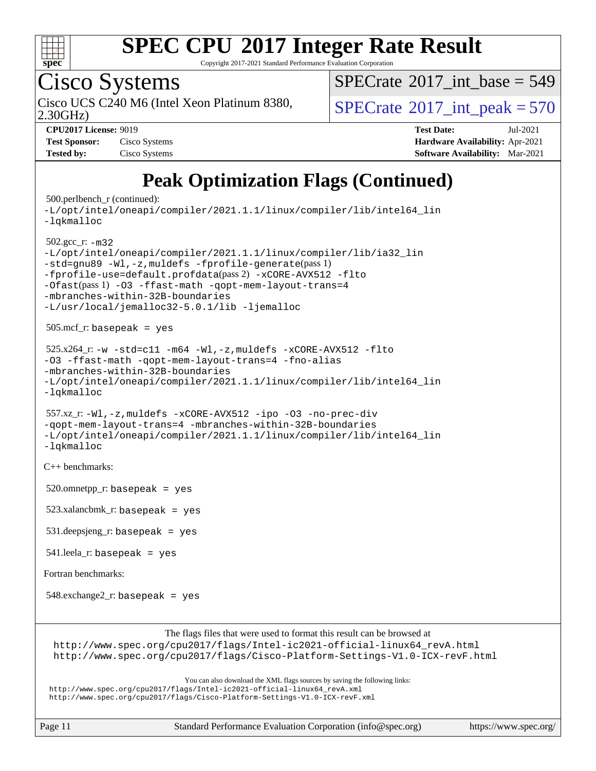

Copyright 2017-2021 Standard Performance Evaluation Corporation

Cisco Systems

2.30GHz) Cisco UCS C240 M6 (Intel Xeon Platinum 8380,  $\vert$  [SPECrate](http://www.spec.org/auto/cpu2017/Docs/result-fields.html#SPECrate2017intpeak)<sup>®</sup>[2017\\_int\\_peak = 5](http://www.spec.org/auto/cpu2017/Docs/result-fields.html#SPECrate2017intpeak)70

 $SPECrate$ <sup>®</sup>[2017\\_int\\_base =](http://www.spec.org/auto/cpu2017/Docs/result-fields.html#SPECrate2017intbase) 549

| <b>Test Sponsor:</b> | Cisco Systems |
|----------------------|---------------|
| <b>Tested by:</b>    | Cisco Systems |

**[CPU2017 License:](http://www.spec.org/auto/cpu2017/Docs/result-fields.html#CPU2017License)** 9019 **[Test Date:](http://www.spec.org/auto/cpu2017/Docs/result-fields.html#TestDate)** Jul-2021 **[Hardware Availability:](http://www.spec.org/auto/cpu2017/Docs/result-fields.html#HardwareAvailability)** Apr-2021 **[Software Availability:](http://www.spec.org/auto/cpu2017/Docs/result-fields.html#SoftwareAvailability)** Mar-2021

## **[Peak Optimization Flags \(Continued\)](http://www.spec.org/auto/cpu2017/Docs/result-fields.html#PeakOptimizationFlags)**

500.perlbench\_r (continued):

```
-L/opt/intel/oneapi/compiler/2021.1.1/linux/compiler/lib/intel64_lin
-lqkmalloc
 502.gcc_r: -m32
-L/opt/intel/oneapi/compiler/2021.1.1/linux/compiler/lib/ia32_lin
-std=gnu89 -Wl,-z,muldefs -fprofile-generate(pass 1)
-fprofile-use=default.profdata(pass 2) -xCORE-AVX512 -flto
-Ofast(pass 1) -O3 -ffast-math -qopt-mem-layout-trans=4
-mbranches-within-32B-boundaries
-L/usr/local/jemalloc32-5.0.1/lib -ljemalloc
 505.mcf_r: basepeak = yes
525.x264-w-std=c11-m64-Wl,-z,muldefs-xCORE-AVX512-flto
-O3 -ffast-math -qopt-mem-layout-trans=4 -fno-alias
-mbranches-within-32B-boundaries
-L/opt/intel/oneapi/compiler/2021.1.1/linux/compiler/lib/intel64_lin
-lqkmalloc
 557.xz_r: -Wl,-z,muldefs -xCORE-AVX512 -ipo -O3 -no-prec-div
-qopt-mem-layout-trans=4 -mbranches-within-32B-boundaries
-L/opt/intel/oneapi/compiler/2021.1.1/linux/compiler/lib/intel64_lin
-lqkmalloc
C++ benchmarks: 
520.omnetpp_r: basepeak = yes
 523.xalancbmk_r: basepeak = yes
 531.deepsjeng_r: basepeak = yes
 541.leela_r: basepeak = yes
Fortran benchmarks: 
 548.exchange2_r: basepeak = yes
                       The flags files that were used to format this result can be browsed at
 http://www.spec.org/cpu2017/flags/Intel-ic2021-official-linux64_revA.html
 http://www.spec.org/cpu2017/flags/Cisco-Platform-Settings-V1.0-ICX-revF.html
                          You can also download the XML flags sources by saving the following links:
http://www.spec.org/cpu2017/flags/Intel-ic2021-official-linux64_revA.xml
```
<http://www.spec.org/cpu2017/flags/Cisco-Platform-Settings-V1.0-ICX-revF.xml>